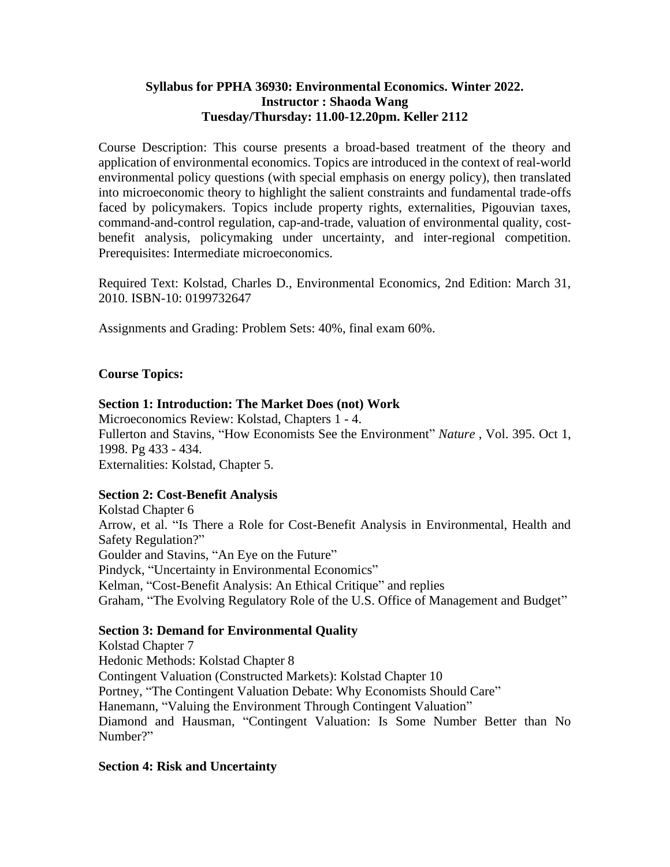## **Syllabus for PPHA 36930: Environmental Economics. Winter 2022. Instructor : Shaoda Wang Tuesday/Thursday: 11.00-12.20pm. Keller 2112**

Course Description: This course presents a broad-based treatment of the theory and application of environmental economics. Topics are introduced in the context of real-world environmental policy questions (with special emphasis on energy policy), then translated into microeconomic theory to highlight the salient constraints and fundamental trade-offs faced by policymakers. Topics include property rights, externalities, Pigouvian taxes, command-and-control regulation, cap-and-trade, valuation of environmental quality, costbenefit analysis, policymaking under uncertainty, and inter-regional competition. Prerequisites: Intermediate microeconomics.

Required Text: Kolstad, Charles D., Environmental Economics, 2nd Edition: March 31, 2010. ISBN-10: 0199732647

Assignments and Grading: Problem Sets: 40%, final exam 60%.

# **Course Topics:**

#### **Section 1: Introduction: The Market Does (not) Work**

Microeconomics Review: Kolstad, Chapters 1 - 4. Fullerton and Stavins, "How Economists See the Environment" *Nature* , Vol. 395. Oct 1, 1998. Pg 433 - 434. Externalities: Kolstad, Chapter 5.

#### **Section 2: Cost-Benefit Analysis**

Kolstad Chapter 6 Arrow, et al. "Is There a Role for Cost-Benefit Analysis in Environmental, Health and Safety Regulation?" Goulder and Stavins, "An Eye on the Future" Pindyck, "Uncertainty in Environmental Economics" Kelman, "Cost-Benefit Analysis: An Ethical Critique" and replies Graham, "The Evolving Regulatory Role of the U.S. Office of Management and Budget"

#### **Section 3: Demand for Environmental Quality**

Kolstad Chapter 7 Hedonic Methods: Kolstad Chapter 8 Contingent Valuation (Constructed Markets): Kolstad Chapter 10 Portney, "The Contingent Valuation Debate: Why Economists Should Care" Hanemann, "Valuing the Environment Through Contingent Valuation" Diamond and Hausman, "Contingent Valuation: Is Some Number Better than No Number?"

#### **Section 4: Risk and Uncertainty**